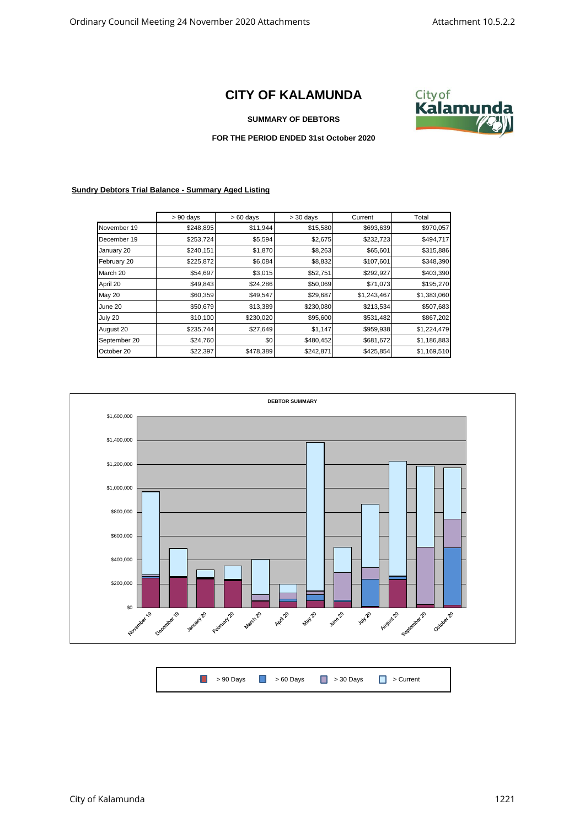## **CITY OF KALAMUNDA**



## **SUMMARY OF DEBTORS**

## **FOR THE PERIOD ENDED 31st October 2020**

## **Sundry Debtors Trial Balance - Summary Aged Listing**

|                         | $> 90$ days | $>60$ days | $>$ 30 days | Current     | Total       |
|-------------------------|-------------|------------|-------------|-------------|-------------|
| November 19             | \$248,895   | \$11,944   | \$15,580    | \$693,639   | \$970,057   |
| December 19             | \$253,724   | \$5,594    | \$2,675     | \$232,723   | \$494,717   |
| \$240,151<br>January 20 |             | \$1,870    | \$8,263     | \$65,601    | \$315,886   |
| February 20             | \$225,872   | \$6,084    | \$8,832     | \$107,601   | \$348,390   |
| March 20                | \$54,697    | \$3,015    | \$52,751    | \$292,927   | \$403,390   |
| April 20                | \$49,843    | \$24,286   | \$50,069    | \$71,073    | \$195,270   |
| May 20                  | \$60,359    | \$49,547   | \$29,687    | \$1,243,467 | \$1,383,060 |
| June 20                 | \$50,679    | \$13,389   | \$230,080   | \$213,534   | \$507,683   |
| July 20                 | \$10,100    | \$230,020  | \$95,600    | \$531,482   | \$867,202   |
| August 20               | \$235,744   | \$27,649   | \$1,147     | \$959,938   | \$1,224,479 |
| September 20            | \$24,760    | \$0        | \$480,452   | \$681,672   | \$1,186,883 |
| October 20              | \$22,397    | \$478,389  | \$242,871   | \$425,854   | \$1,169,510 |